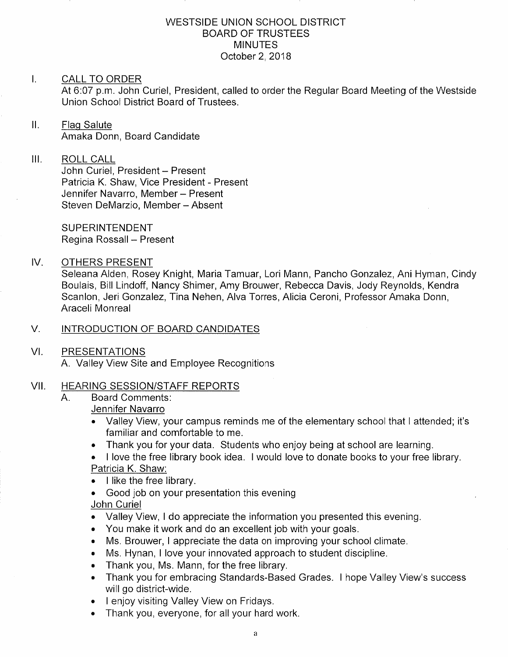### WESTSIDE UNION SCHOOL DISTRICT BOARD OF TRUSTEES **MINUTES** October 2,2018

### $\mathbf{L}$ CALL TO ORDER

At 6:07 p.m. John Curiel, President, called to order the Regular Board Meeting of the Westside Union School District Board of Trustees.

 $\mathbf{II}$ . Flaq Salute Amaka Donn. Board Candidate

### $III.$ ROLL CALL

John Curiel, President - Present Patricia K. Shaw, Vice President - Present Jennifer Navarro, Member - Present Steven DeMarzio, Member - Absent

SUPERINTENDENT Regina Rossall - Present

### IV OTHERS PRESENT

Seleana Alden, Rosey Knight, Maria Tamuar, Lori Mann, Pancho Gonzalez, Ani Hyman, Cindy Boulais, Bìll Lindoff, Nancy Shimer, Amy Brouwer, Rebecca Davis, Jody Reynolds, Kendra Scanlon, Jeri Gonzalez, Tina Nehen, Alva Torres, Alicia Ceroni, Professor Amaka Donn, Araceli Monreal

### V. INTRODUCTION OF BOARD CANDIDATES

VI PRESENTATIONS

A. Valley View Site and Employee Recognitions

# VII. HEARING SESSION/STAFF REPORTS<br>A. Board Comments:

### Jennifer Navarro

- . Valley View, your campus reminds me of the elementary school that I attended; it's familiar and comfortable to me.
- . Thank you for your data. Students who enjoy being at school are learning.
- . I love the free library book idea. I would love to donate books to your free library. Patricia K. Shaw:
- I like the free library.
- . Good job on your presentation this evening

### John Curiel

- . Valley View, I do appreciate the information you presented this evening.
- . You make it work and do an excellent job with your goals.
- Ms. Brouwer, I appreciate the data on improving your school climate.
- . Ms. Hynan, I love your innovated approach to student discipline,
- . Thank you, Ms. Mann, for the free library.
- . Thank you for embracing Standards-Based Grades. I hope Valley View's success will go district-wide.
- . <sup>I</sup>enjoy visiting Valley View on Fridays.
- . Thank you, everyone, for all your hard work.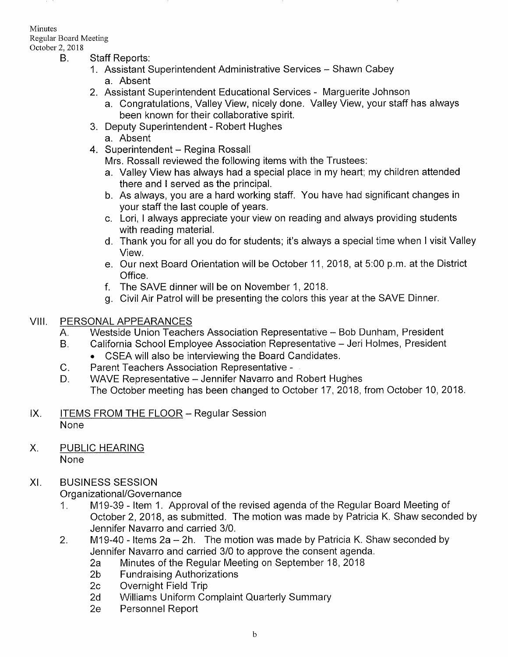### Minutes

Regular Board Meeting

- - B. Staff Reports:
		- 1. Assistant Superintendent Administrative Services Shawn Cabey a. Absent
		- 2. Assistant Superintendent Educational Services Marguerite Johnson
			- a. Congratulations, Valley View, nicely done. Valley View, your staff has always been known for their collaborative spirit.
		- 3. Deputy Superintendent Robert Hughes a. Absent
		- 4. Superintendent Regina Rossall

Mrs. Rossall reviewed the following items with the Trustees:

- a. Valley View has always had a special place in my heart; my children attended there and I served as the principal.
- b. As always, you are a hard working staff. You have had significant changes in your staff the last couple of years.
- c. Lori, I always appreciate your view on reading and always providing students
- d. Thank you for all you do for students; it's always a special time when I visit Valley View.
- e. Our next Board Orientation will be October 11,2018, at 5:00 p.m. at the District Office. f. The SAVE dinner will be on November <sup>1</sup>,2018.
- 
- g. Civil Air Patrol will be presenting the colors this year at the SAVE Dinner.

- VIII. PERSONAL APPEARANCES<br>A. Westside Union Teachers Association Representative Bob Dunham, President<br>B. California School Employee Association Representative Jeri Holmes, President
	- -
		-
	- . CSEA will also be interviewing the Board Candidates. C. Parent Teachers Association Representative D. WAVE Representative Jennifer Navarro and Robert Hughes The October meeting has been changed to October <sup>17</sup>,2018, from October 10,2018
- ITEMS FROM THE FLOOR Regular Session None  $IX.$
- PUBLIC HEARING X

**None** 

## XI. BUSINESS SESSION

- Organizational/Governance<br>1. M19-39 Item 1. Approval of the revised agenda of the Regular Board Meeting of October 2,2018, as submitted. The motion was made by Patricia K. Shaw seconded by
- Jennifer Navarro and carried 3/0.<br>2. M19-40 Items 2a 2h. The motion was made by Patricia K. Shaw seconded by<br>3. Jennifer Navarro and carried 3/0 to approve the consent agenda.
	- 2a Minutes of the Regular Meeting on September 18, 2018<br>
	2b Fundraising Authorizations<br>
	2c Overnight Field Trip<br>
	2d Williams Uniform Complaint Quarterly Summary<br>
	2e Personnel Report
	-
	-
	-
	-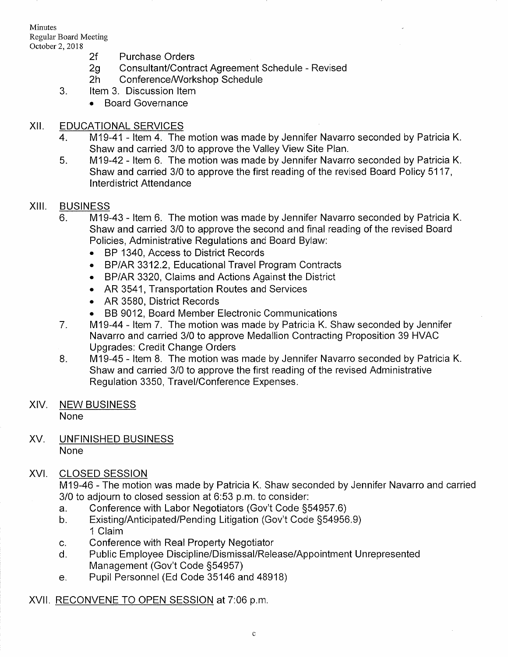Minutes Regular Board Meeting

- 
- 2f Purchase Orders<br>2g Consultant/Contract Agreement Schedule Revised<br>2h Conference/Workshop Schedule<br>3. ltem 3. Discussion Item
	-
	- - . Board Governance

### xil EDUCATIONAL SERVICES

- 4. M19-41 Item 4. The motion was made by Jennifer Navarro seconded by Patricia K.<br>Shaw and carried 3/0 to approve the Valley View Site Plan.
- 5. M19-42 Item 6. The motion was made by Jennifer Navarro seconded by Patricia K. Shaw and carried 3/0 to approve the first reading of the revised Board Policy 5117, lnterdistrict Attendance

- XIII. BUSINESS<br>6. M19-43 Item 6. The motion was made by Jennifer Navarro seconded by Patricia K. Shaw and carried 3/0 to approve the second and final reading of the revised Board Policies, Administrative Regulations and Board Bylaw:
	- BP 1340, Access to District Records
	- . BP/AR 3312.2, Educational Travel Program Contracts
	- . BP/AR 3320, Claims and Actions Against the District
	- . AR 3541, Transporiatíon Routes and Services
	- AR 3580, District Records
	-
	- . BB 9012, Board Member Electronic Communications 7. M19-44 ltem 7. The motion was made by Patricia K. Shaw seconded by Jennifer Navarro and carried 3/0 to approve Medallion Contracting Proposition 39 HVAC
	- 8. M19-45 Item 8. The motion was made by Jennifer Navarro seconded by Patricia K. Shaw and carried 3/0 to approve the first reading of the revised Administrative Regulation 3350, Travel/Conference Expenses.

# XIV. NEW BUSINESS

None

XV. UNFINISHED BUSINESS None

## XVI. CLOSED SESSION

M19-46 - The motion was made by Patricia K. Shaw seconded by Jennifer Navarro and carried 3/0 to adjourn to closed session at 6:53 p.m. to consider:<br>a. Conference with Labor Negotiators (Gov't Code §54957.6)

- 
- a. Conference with Labor Negotiators (Gov't Code §54957.6)<br>b. Existing/Anticipated/Pending Litigation (Gov't Code §54956.9) '1 Clalm
- 
- c. Conference with Real Property Negotiator<br>d. Public Employee Discipline/Dismissal/Release/Appointment Unrepresented<br>Management (Gov't Code §54957)
- e. Pupil Personnel (Ed Code 35146 and 48918)

### XVll. RECONVENE TO OPEN SESSION at 7:06 p.m,